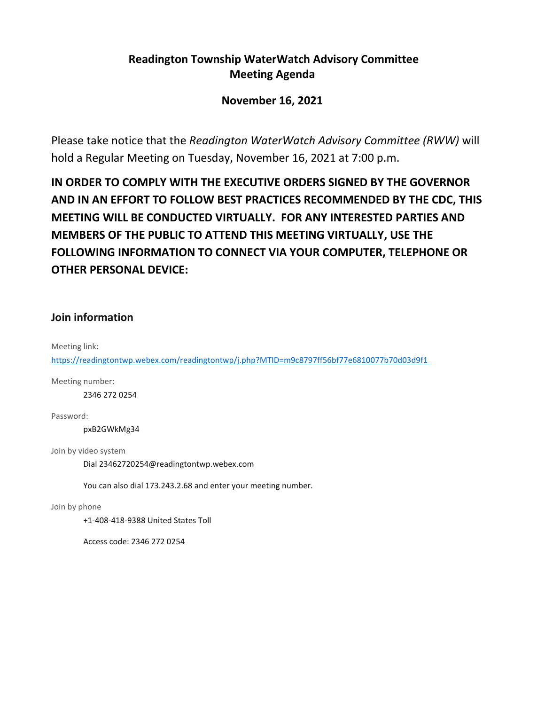# **Readington Township WaterWatch Advisory Committee Meeting Agenda**

# **November 16, 2021**

Please take notice that the *Readington WaterWatch Advisory Committee (RWW)* will hold a Regular Meeting on Tuesday, November 16, 2021 at 7:00 p.m.

**IN ORDER TO COMPLY WITH THE EXECUTIVE ORDERS SIGNED BY THE GOVERNOR AND IN AN EFFORT TO FOLLOW BEST PRACTICES RECOMMENDED BY THE CDC, THIS MEETING WILL BE CONDUCTED VIRTUALLY. FOR ANY INTERESTED PARTIES AND MEMBERS OF THE PUBLIC TO ATTEND THIS MEETING VIRTUALLY, USE THE FOLLOWING INFORMATION TO CONNECT VIA YOUR COMPUTER, TELEPHONE OR OTHER PERSONAL DEVICE:**

# **Join information**

Meeting link:

[https://readingtontwp.webex.com/readingtontwp/j.php?MTID=m9c8797ff56bf77e6810077b70d03d9f1](https://readingtontwp.webex.com/readingtontwp/j.php?MTID=m9c8797ff56bf77e6810077b70d03d9f1 )

Meeting number:

2346 272 0254

Password:

pxB2GWkMg34

Join by video system

Dial 23462720254@readingtontwp.webex.com

You can also dial 173.243.2.68 and enter your meeting number.

Join by phone

+1-408-418-9388 United States Toll

Access code: 2346 272 0254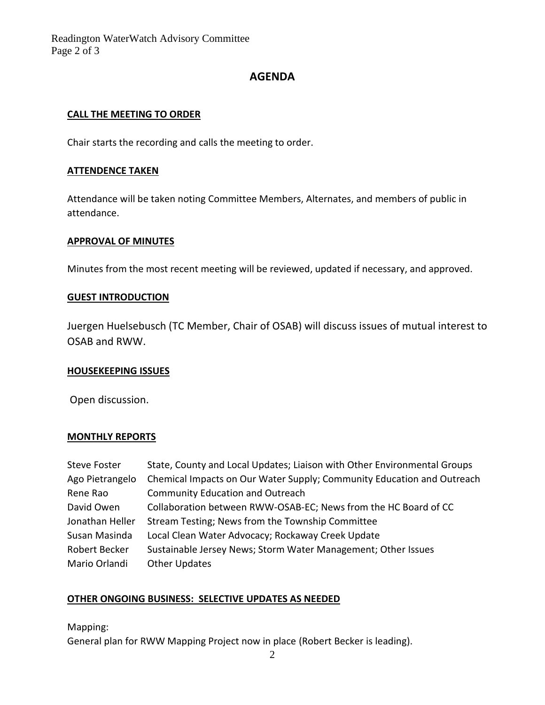Readington WaterWatch Advisory Committee Page 2 of 3

# **AGENDA**

## **CALL THE MEETING TO ORDER**

Chair starts the recording and calls the meeting to order.

#### **ATTENDENCE TAKEN**

Attendance will be taken noting Committee Members, Alternates, and members of public in attendance.

#### **APPROVAL OF MINUTES**

Minutes from the most recent meeting will be reviewed, updated if necessary, and approved.

### **GUEST INTRODUCTION**

Juergen Huelsebusch (TC Member, Chair of OSAB) will discuss issues of mutual interest to OSAB and RWW.

### **HOUSEKEEPING ISSUES**

Open discussion.

#### **MONTHLY REPORTS**

| <b>Steve Foster</b> | State, County and Local Updates; Liaison with Other Environmental Groups |
|---------------------|--------------------------------------------------------------------------|
| Ago Pietrangelo     | Chemical Impacts on Our Water Supply; Community Education and Outreach   |
| Rene Rao            | <b>Community Education and Outreach</b>                                  |
| David Owen          | Collaboration between RWW-OSAB-EC; News from the HC Board of CC          |
| Jonathan Heller     | Stream Testing; News from the Township Committee                         |
| Susan Masinda       | Local Clean Water Advocacy; Rockaway Creek Update                        |
| Robert Becker       | Sustainable Jersey News; Storm Water Management; Other Issues            |
| Mario Orlandi       | <b>Other Updates</b>                                                     |

### **OTHER ONGOING BUSINESS: SELECTIVE UPDATES AS NEEDED**

Mapping:

General plan for RWW Mapping Project now in place (Robert Becker is leading).